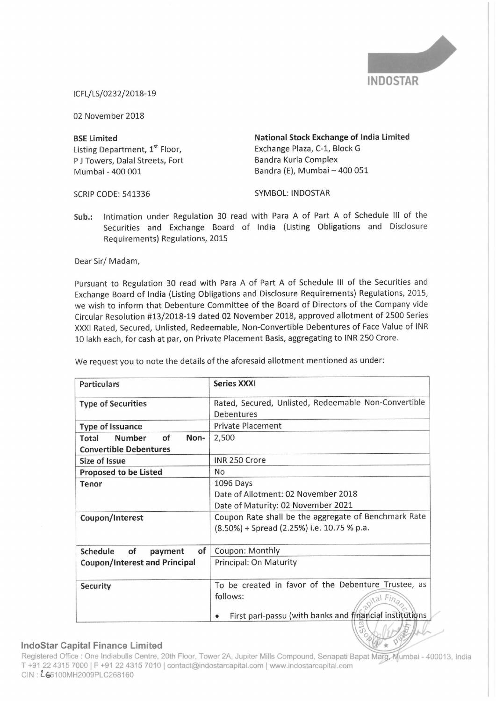

lCFL/LS/0232/2018—19

02 November 2018

Listing Department, 1<sup>st</sup> Floor, Exchange Plaza, C-1, Block G<br>
P J Towers. Dalal Streets. Fort Bandra Kurla Complex P J Towers, Dalal Streets, Fort<br>Mumbai - 400 001

BSE Limited National Stock Exchange of India Limited Bandra (E), Mumbai - 400 051

SCRIP CODE: 541336 SYMBOL: INDOSTAR

Sub.: Intimation under Regulation <sup>30</sup> read with Para <sup>A</sup> of Part <sup>A</sup> of Schedule III of the Securities and Exchange Board of India (Listing Obligations and Disclosure Requirements) Regulations, 2015

Dear Sir/ Madam,

Pursuant to Regulation <sup>30</sup> read with Para <sup>A</sup> of Part <sup>A</sup> of Schedule III of the Securities and Exchange Board of India (Listing Obligations and Disclosure Requirements) Regulations, 2015, we wish to inform that Debenture Committee of the Board of Directors of the Company vide Circular Resolution #13/2018—19 dated <sup>02</sup> November 2018, approved allotment of 2500 Series XXXI Rated, Secured, Unlisted, Redeemable, Non-Convertible Debentures of Face Value of INR <sup>10</sup> lakh each, for cash at par, on Private Placement Basis, aggregating to INR 250 Crore.

| <b>Particulars</b>                   | <b>Series XXXI</b>                                      |
|--------------------------------------|---------------------------------------------------------|
| <b>Type of Securities</b>            | Rated, Secured, Unlisted, Redeemable Non-Convertible    |
|                                      | Debentures                                              |
| <b>Type of Issuance</b>              | <b>Private Placement</b>                                |
| <b>Number</b><br>of<br>Non-<br>Total | 2,500                                                   |
| <b>Convertible Debentures</b>        |                                                         |
| <b>Size of Issue</b>                 | INR 250 Crore                                           |
| <b>Proposed to be Listed</b>         | <b>No</b>                                               |
| Tenor                                | 1096 Days                                               |
|                                      | Date of Allotment: 02 November 2018                     |
|                                      | Date of Maturity: 02 November 2021                      |
| Coupon/Interest                      | Coupon Rate shall be the aggregate of Benchmark Rate    |
|                                      | (8.50%) + Spread (2.25%) i.e. 10.75 % p.a.              |
|                                      |                                                         |
| of<br>Schedule<br>of<br>payment      | Coupon: Monthly                                         |
| <b>Coupon/Interest and Principal</b> | <b>Principal: On Maturity</b>                           |
|                                      |                                                         |
| <b>Security</b>                      | To be created in favor of the Debenture Trustee, as     |
|                                      | follows:<br>$\alpha$ Fina                               |
|                                      | First pari-passu (with banks and financial institutions |
|                                      |                                                         |

We request you to note the details of the aforesaid allotment mentioned as under:

## lndoStar Capital Finance

n a Summer Capital 1 marred Limited.<br>Registered Office : One Indiabulls Centre, 20th Floor, Tower 2A, Jupiter Mills Compound, Senapati Bapat Marg, Mumbai - 400013, India T +91 22 4315 7000 | F +91 CIN: L65100MH2009PLC268160